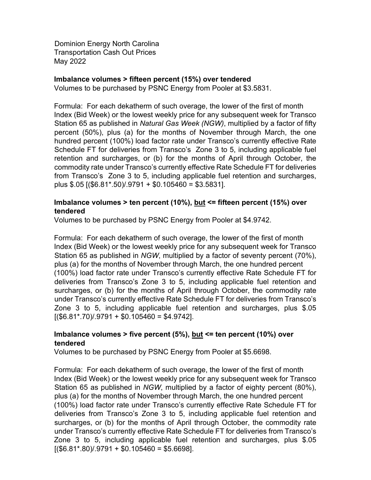Dominion Energy North Carolina Transportation Cash Out Prices May 2022

#### **Imbalance volumes > fifteen percent (15%) over tendered**

Volumes to be purchased by PSNC Energy from Pooler at \$3.5831.

Formula: For each dekatherm of such overage, the lower of the first of month Index (Bid Week) or the lowest weekly price for any subsequent week for Transco Station 65 as published in *Natural Gas Week (NGW)*, multiplied by a factor of fifty percent (50%), plus (a) for the months of November through March, the one hundred percent (100%) load factor rate under Transco's currently effective Rate Schedule FT for deliveries from Transco's Zone 3 to 5, including applicable fuel retention and surcharges, or (b) for the months of April through October, the commodity rate under Transco's currently effective Rate Schedule FT for deliveries from Transco's Zone 3 to 5, including applicable fuel retention and surcharges, plus \$.05 [(\$6.81\*.50)/.9791 + \$0.105460 = \$3.5831].

#### **Imbalance volumes > ten percent (10%), but <= fifteen percent (15%) over tendered**

Volumes to be purchased by PSNC Energy from Pooler at \$4.9742.

Formula: For each dekatherm of such overage, the lower of the first of month Index (Bid Week) or the lowest weekly price for any subsequent week for Transco Station 65 as published in *NGW*, multiplied by a factor of seventy percent (70%), plus (a) for the months of November through March, the one hundred percent (100%) load factor rate under Transco's currently effective Rate Schedule FT for deliveries from Transco's Zone 3 to 5, including applicable fuel retention and surcharges, or (b) for the months of April through October, the commodity rate under Transco's currently effective Rate Schedule FT for deliveries from Transco's Zone 3 to 5, including applicable fuel retention and surcharges, plus \$.05  $[($6.81*.70)/.9791 + $0.105460 = $4.9742]$ .

### **Imbalance volumes > five percent (5%), but <= ten percent (10%) over tendered**

Volumes to be purchased by PSNC Energy from Pooler at \$5.6698.

Formula: For each dekatherm of such overage, the lower of the first of month Index (Bid Week) or the lowest weekly price for any subsequent week for Transco Station 65 as published in *NGW*, multiplied by a factor of eighty percent (80%), plus (a) for the months of November through March, the one hundred percent (100%) load factor rate under Transco's currently effective Rate Schedule FT for deliveries from Transco's Zone 3 to 5, including applicable fuel retention and surcharges, or (b) for the months of April through October, the commodity rate under Transco's currently effective Rate Schedule FT for deliveries from Transco's Zone 3 to 5, including applicable fuel retention and surcharges, plus \$.05  $[($6.81*.80)/.9791 + $0.105460 = $5.6698]$ .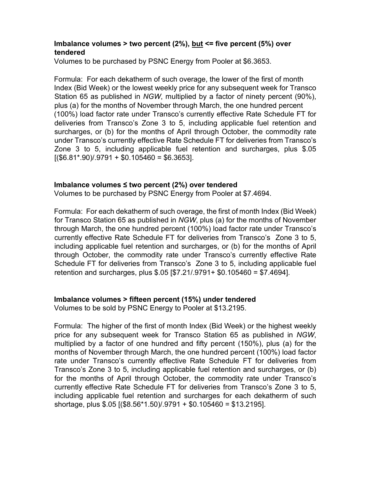### **Imbalance volumes > two percent (2%), but <= five percent (5%) over tendered**

Volumes to be purchased by PSNC Energy from Pooler at \$6.3653.

Formula: For each dekatherm of such overage, the lower of the first of month Index (Bid Week) or the lowest weekly price for any subsequent week for Transco Station 65 as published in *NGW*, multiplied by a factor of ninety percent (90%), plus (a) for the months of November through March, the one hundred percent (100%) load factor rate under Transco's currently effective Rate Schedule FT for deliveries from Transco's Zone 3 to 5, including applicable fuel retention and surcharges, or (b) for the months of April through October, the commodity rate under Transco's currently effective Rate Schedule FT for deliveries from Transco's Zone 3 to 5, including applicable fuel retention and surcharges, plus \$.05  $[($6.81*.90)/.9791 + $0.105460 = $6.3653]$ .

### **Imbalance volumes ≤ two percent (2%) over tendered**

Volumes to be purchased by PSNC Energy from Pooler at \$7.4694.

Formula: For each dekatherm of such overage, the first of month Index (Bid Week) for Transco Station 65 as published in *NGW*, plus (a) for the months of November through March, the one hundred percent (100%) load factor rate under Transco's currently effective Rate Schedule FT for deliveries from Transco's Zone 3 to 5, including applicable fuel retention and surcharges, or (b) for the months of April through October, the commodity rate under Transco's currently effective Rate Schedule FT for deliveries from Transco's Zone 3 to 5, including applicable fuel retention and surcharges, plus \$.05 [\$7.21/.9791+ \$0.105460 = \$7.4694].

# **Imbalance volumes > fifteen percent (15%) under tendered**

Volumes to be sold by PSNC Energy to Pooler at \$13.2195.

Formula: The higher of the first of month Index (Bid Week) or the highest weekly price for any subsequent week for Transco Station 65 as published in *NGW*, multiplied by a factor of one hundred and fifty percent (150%), plus (a) for the months of November through March, the one hundred percent (100%) load factor rate under Transco's currently effective Rate Schedule FT for deliveries from Transco's Zone 3 to 5, including applicable fuel retention and surcharges, or (b) for the months of April through October, the commodity rate under Transco's currently effective Rate Schedule FT for deliveries from Transco's Zone 3 to 5, including applicable fuel retention and surcharges for each dekatherm of such shortage, plus \$.05 [(\$8.56\*1.50)/.9791 + \$0.105460 = \$13.2195].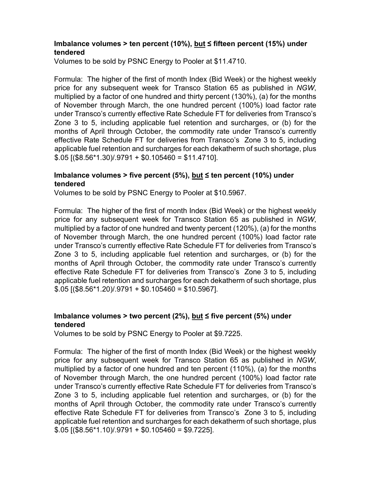# **Imbalance volumes > ten percent (10%), but ≤ fifteen percent (15%) under tendered**

Volumes to be sold by PSNC Energy to Pooler at \$11.4710.

Formula: The higher of the first of month Index (Bid Week) or the highest weekly price for any subsequent week for Transco Station 65 as published in *NGW*, multiplied by a factor of one hundred and thirty percent (130%), (a) for the months of November through March, the one hundred percent (100%) load factor rate under Transco's currently effective Rate Schedule FT for deliveries from Transco's Zone 3 to 5, including applicable fuel retention and surcharges, or (b) for the months of April through October, the commodity rate under Transco's currently effective Rate Schedule FT for deliveries from Transco's Zone 3 to 5, including applicable fuel retention and surcharges for each dekatherm of such shortage, plus  $$.05$  [(\$8.56\*1.30)/.9791 + \$0.105460 = \$11.4710].

# **Imbalance volumes > five percent (5%), but ≤ ten percent (10%) under tendered**

Volumes to be sold by PSNC Energy to Pooler at \$10.5967.

Formula: The higher of the first of month Index (Bid Week) or the highest weekly price for any subsequent week for Transco Station 65 as published in *NGW*, multiplied by a factor of one hundred and twenty percent (120%), (a) for the months of November through March, the one hundred percent (100%) load factor rate under Transco's currently effective Rate Schedule FT for deliveries from Transco's Zone 3 to 5, including applicable fuel retention and surcharges, or (b) for the months of April through October, the commodity rate under Transco's currently effective Rate Schedule FT for deliveries from Transco's Zone 3 to 5, including applicable fuel retention and surcharges for each dekatherm of such shortage, plus  $$.05$  [(\$8.56\*1.20)/.9791 + \$0.105460 = \$10.5967].

# **Imbalance volumes > two percent (2%), but ≤ five percent (5%) under tendered**

Volumes to be sold by PSNC Energy to Pooler at \$9.7225.

Formula: The higher of the first of month Index (Bid Week) or the highest weekly price for any subsequent week for Transco Station 65 as published in *NGW*, multiplied by a factor of one hundred and ten percent (110%), (a) for the months of November through March, the one hundred percent (100%) load factor rate under Transco's currently effective Rate Schedule FT for deliveries from Transco's Zone 3 to 5, including applicable fuel retention and surcharges, or (b) for the months of April through October, the commodity rate under Transco's currently effective Rate Schedule FT for deliveries from Transco's Zone 3 to 5, including applicable fuel retention and surcharges for each dekatherm of such shortage, plus  $$.05$  [(\$8.56\*1.10)/.9791 + \$0.105460 = \$9.7225].